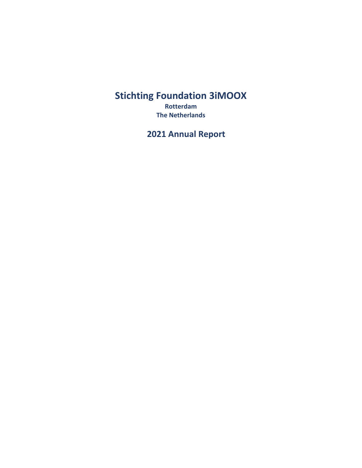# **Stichting Foundation 3iMOOX**

**Rotterdam The Netherlands**

**2021 Annual Report**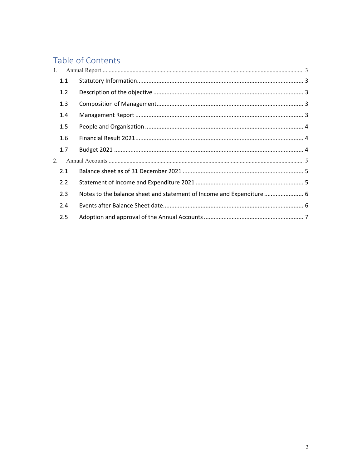# Table of Contents

| $1_{\cdot}$ |                                                                      |  |
|-------------|----------------------------------------------------------------------|--|
| 1.1         |                                                                      |  |
| 1.2         |                                                                      |  |
| 1.3         |                                                                      |  |
| 1.4         |                                                                      |  |
| 1.5         |                                                                      |  |
| 1.6         |                                                                      |  |
| 1.7         |                                                                      |  |
| 2.          |                                                                      |  |
| 2.1         |                                                                      |  |
| 2.2         |                                                                      |  |
| 2.3         | Notes to the balance sheet and statement of Income and Expenditure 6 |  |
| 2.4         |                                                                      |  |
| 2.5         |                                                                      |  |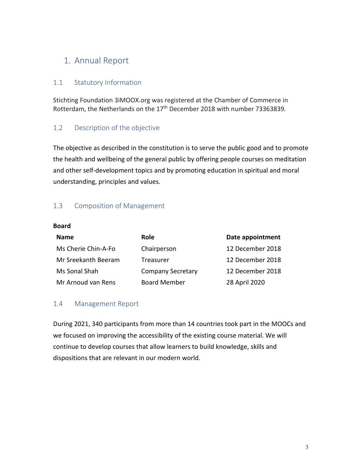## <span id="page-2-0"></span>1. Annual Report

#### <span id="page-2-1"></span>1.1 Statutory Information

Stichting Foundation 3iMOOX.org was registered at the Chamber of Commerce in Rotterdam, the Netherlands on the 17<sup>th</sup> December 2018 with number 73363839.

#### <span id="page-2-2"></span>1.2 Description of the objective

The objective as described in the constitution is to serve the public good and to promote the health and wellbeing of the general public by offering people courses on meditation and other self-development topics and by promoting education in spiritual and moral understanding, principles and values.

#### <span id="page-2-3"></span>1.3 Composition of Management

#### **Board**

| <b>Name</b>         | <b>Role</b>              | Date appointment |
|---------------------|--------------------------|------------------|
| Ms Cherie Chin-A-Fo | Chairperson              | 12 December 2018 |
| Mr Sreekanth Beeram | Treasurer                | 12 December 2018 |
| Ms Sonal Shah       | <b>Company Secretary</b> | 12 December 2018 |
| Mr Arnoud van Rens  | <b>Board Member</b>      | 28 April 2020    |

#### <span id="page-2-4"></span>1.4 Management Report

During 2021, 340 participants from more than 14 countries took part in the MOOCs and we focused on improving the accessibility of the existing course material. We will continue to develop courses that allow learners to build knowledge, skills and dispositions that are relevant in our modern world.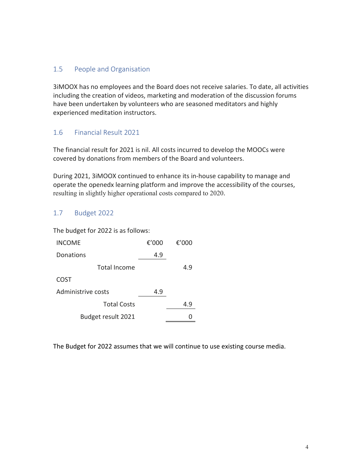#### <span id="page-3-0"></span>1.5 People and Organisation

3iMOOX has no employees and the Board does not receive salaries. To date, all activities including the creation of videos, marketing and moderation of the discussion forums have been undertaken by volunteers who are seasoned meditators and highly experienced meditation instructors.

### <span id="page-3-1"></span>1.6 Financial Result 2021

The financial result for 2021 is nil. All costs incurred to develop the MOOCs were covered by donations from members of the Board and volunteers.

During 2021, 3iMOOX continued to enhance its in-house capability to manage and operate the openedx learning platform and improve the accessibility of the courses, resulting in slightly higher operational costs compared to 2020.

### <span id="page-3-2"></span>1.7 Budget 2022

The budget for 2022 is as follows:

| <b>INCOME</b>       | € $'000$ | € $'000$ |
|---------------------|----------|----------|
| Donations           | 4.9      |          |
| <b>Total Income</b> |          | 4.9      |
| COST                |          |          |
| Administrive costs  | 4.9      |          |
| <b>Total Costs</b>  |          | 4.9      |
| Budget result 2021  |          |          |

The Budget for 2022 assumes that we will continue to use existing course media.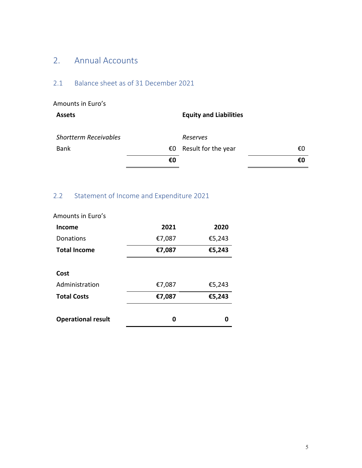## <span id="page-4-0"></span>2. Annual Accounts

## <span id="page-4-1"></span>2.1 Balance sheet as of 31 December 2021

| Amounts in Euro's            |    |                               |    |
|------------------------------|----|-------------------------------|----|
| <b>Assets</b>                |    | <b>Equity and Liabilities</b> |    |
| <b>Shortterm Receivables</b> |    | Reserves                      |    |
| <b>Bank</b>                  | €0 | Result for the year           | €O |
|                              | €0 |                               | €0 |

## <span id="page-4-2"></span>2.2 Statement of Income and Expenditure 2021

| <b>Operational result</b> | 0      | Λ      |
|---------------------------|--------|--------|
| <b>Total Costs</b>        | €7,087 | €5,243 |
| Administration            | €7,087 | €5,243 |
| Cost                      |        |        |
| <b>Total Income</b>       | €7,087 | €5,243 |
| Donations                 | €7,087 | €5,243 |
| Income                    | 2021   | 2020   |
| Amounts in Euro S         |        |        |

Amounts in Euro's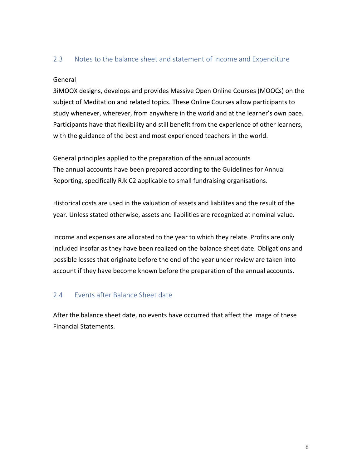#### <span id="page-5-0"></span>2.3 Notes to the balance sheet and statement of Income and Expenditure

#### General

3iMOOX designs, develops and provides Massive Open Online Courses (MOOCs) on the subject of Meditation and related topics. These Online Courses allow participants to study whenever, wherever, from anywhere in the world and at the learner's own pace. Participants have that flexibility and still benefit from the experience of other learners, with the guidance of the best and most experienced teachers in the world.

General principles applied to the preparation of the annual accounts The annual accounts have been prepared according to the Guidelines for Annual Reporting, specifically RJk C2 applicable to small fundraising organisations.

Historical costs are used in the valuation of assets and liabilites and the result of the year. Unless stated otherwise, assets and liabilities are recognized at nominal value.

Income and expenses are allocated to the year to which they relate. Profits are only included insofar as they have been realized on the balance sheet date. Obligations and possible losses that originate before the end of the year under review are taken into account if they have become known before the preparation of the annual accounts.

#### <span id="page-5-1"></span>2.4 Events after Balance Sheet date

After the balance sheet date, no events have occurred that affect the image of these Financial Statements.